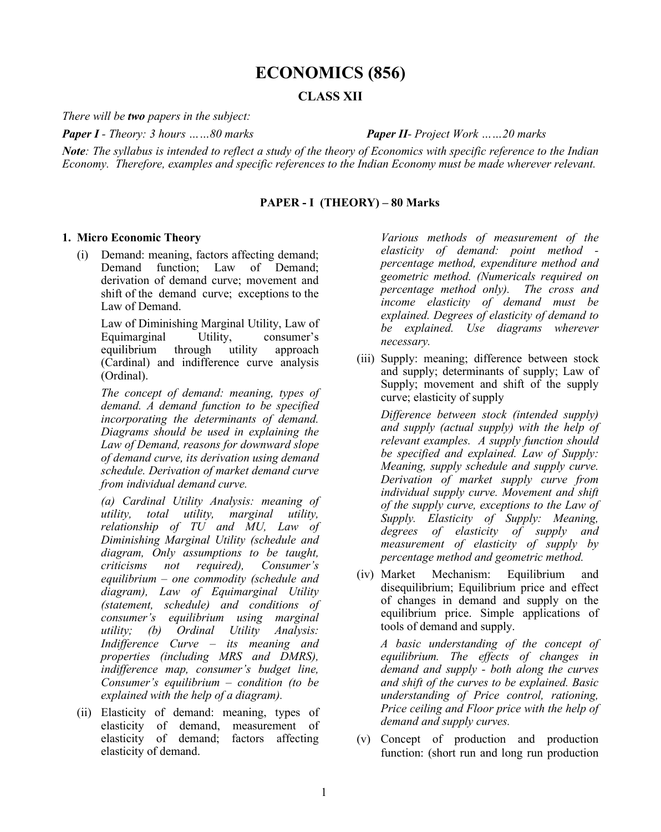# **ECONOMICS (856)**

## **CLASS XII**

*There will be two papers in the subject:*

*Paper I - Theory: 3 hours ……80 marks Paper II- Project Work ……20 marks*

*Note: The syllabus is intended to reflect a study of the theory of Economics with specific reference to the Indian Economy. Therefore, examples and specific references to the Indian Economy must be made wherever relevant.*

### **PAPER - I (THEORY) – 80 Marks**

#### **1. Micro Economic Theory**

(i) Demand: meaning, factors affecting demand; Demand function; Law of Demand; derivation of demand curve; movement and shift of the demand curve; exceptions to the Law of Demand.

Law of Diminishing Marginal Utility, Law of Equimarginal Utility, consumer's equilibrium through utility approach (Cardinal) and indifference curve analysis (Ordinal).

*The concept of demand: meaning, types of demand. A demand function to be specified incorporating the determinants of demand. Diagrams should be used in explaining the Law of Demand, reasons for downward slope of demand curve, its derivation using demand schedule. Derivation of market demand curve from individual demand curve.* 

*(a) Cardinal Utility Analysis: meaning of utility, total utility, marginal utility, relationship of TU and MU, Law of Diminishing Marginal Utility (schedule and diagram, Only assumptions to be taught, criticisms not required), Consumer's equilibrium – one commodity (schedule and diagram), Law of Equimarginal Utility (statement, schedule) and conditions of consumer's equilibrium using marginal utility; (b) Ordinal Utility Analysis: Indifference Curve – its meaning and properties (including MRS and DMRS), indifference map, consumer's budget line, Consumer's equilibrium – condition (to be explained with the help of a diagram).* 

(ii) Elasticity of demand: meaning, types of elasticity of demand, measurement of elasticity of demand; factors affecting elasticity of demand.

*Various methods of measurement of the elasticity of demand: point method percentage method, expenditure method and geometric method. (Numericals required on percentage method only). The cross and income elasticity of demand must be explained. Degrees of elasticity of demand to be explained. Use diagrams wherever necessary.*

(iii) Supply: meaning; difference between stock and supply; determinants of supply; Law of Supply; movement and shift of the supply curve; elasticity of supply

*Difference between stock (intended supply) and supply (actual supply) with the help of relevant examples. A supply function should be specified and explained. Law of Supply: Meaning, supply schedule and supply curve. Derivation of market supply curve from individual supply curve. Movement and shift of the supply curve, exceptions to the Law of Supply. Elasticity of Supply: Meaning, degrees of elasticity of supply and measurement of elasticity of supply by percentage method and geometric method.* 

(iv) Market Mechanism: Equilibrium and disequilibrium; Equilibrium price and effect of changes in demand and supply on the equilibrium price. Simple applications of tools of demand and supply.

*A basic understanding of the concept of equilibrium. The effects of changes in demand and supply - both along the curves and shift of the curves to be explained. Basic understanding of Price control, rationing, Price ceiling and Floor price with the help of demand and supply curves.*

(v) Concept of production and production function: (short run and long run production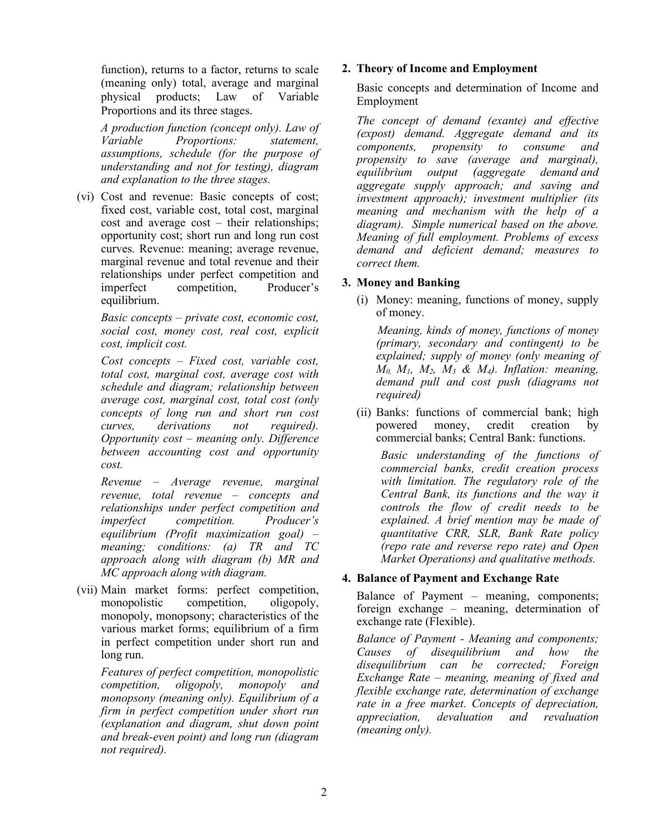function), returns to a factor, returns to scale (meaning only) total, average and marginal physical products; Law of Variable Proportions and its three stages.

*A production function (concept only). Law of Variable Proportions: statement, assumptions, schedule (for the purpose of understanding and not for testing), diagram and explanation to the three stages.* 

(vi) Cost and revenue: Basic concepts of cost; fixed cost, variable cost, total cost, marginal cost and average cost – their relationships; opportunity cost; short run and long run cost curves. Revenue: meaning; average revenue, marginal revenue and total revenue and their relationships under perfect competition and imperfect competition, Producer's equilibrium.

*Basic concepts – private cost, economic cost, social cost, money cost, real cost, explicit cost, implicit cost.* 

*Cost concepts – Fixed cost, variable cost, total cost, marginal cost, average cost with schedule and diagram; relationship between average cost, marginal cost, total cost (only concepts of long run and short run cost curves, derivations not required). Opportunity cost – meaning only. Difference between accounting cost and opportunity cost.* 

*Revenue – Average revenue, marginal revenue, total revenue – concepts and relationships under perfect competition and imperfect competition. Producer's equilibrium (Profit maximization goal) – meaning; conditions: (a) TR and TC approach along with diagram (b) MR and MC approach along with diagram.*

(vii) Main market forms: perfect competition, monopolistic competition, oligopoly, monopoly, monopsony; characteristics of the various market forms; equilibrium of a firm in perfect competition under short run and long run.

*Features of perfect competition, monopolistic competition, oligopoly, monopoly and monopsony (meaning only). Equilibrium of a firm in perfect competition under short run (explanation and diagram, shut down point and break-even point) and long run (diagram not required).* 

## **2. Theory of Income and Employment**

Basic concepts and determination of Income and Employment

*The concept of demand (exante) and effective (expost) demand. Aggregate demand and its components, propensity to consume and propensity to save (average and marginal), equilibrium output (aggregate demand and aggregate supply approach; and saving and investment approach); investment multiplier (its meaning and mechanism with the help of a diagram). Simple numerical based on the above. Meaning of full employment. Problems of excess demand and deficient demand; measures to correct them.*

## **3. Money and Banking**

(i) Money: meaning, functions of money, supply of money.

 *Meaning, kinds of money, functions of money (primary, secondary and contingent) to be explained; supply of money (only meaning of M0, M1, M2, M3 & M4). Inflation: meaning, demand pull and cost push (diagrams not required)*

(ii) Banks: functions of commercial bank; high powered money, credit creation by commercial banks; Central Bank: functions.

*Basic understanding of the functions of commercial banks, credit creation process with limitation. The regulatory role of the Central Bank, its functions and the way it controls the flow of credit needs to be explained. A brief mention may be made of quantitative CRR, SLR, Bank Rate policy (repo rate and reverse repo rate) and Open Market Operations) and qualitative methods.*

## **4. Balance of Payment and Exchange Rate**

Balance of Payment – meaning, components; foreign exchange – meaning, determination of exchange rate (Flexible).

*Balance of Payment - Meaning and components; Causes of disequilibrium and how the disequilibrium can be corrected; Foreign Exchange Rate – meaning, meaning of fixed and flexible exchange rate, determination of exchange rate in a free market. Concepts of depreciation, appreciation, devaluation and revaluation (meaning only).*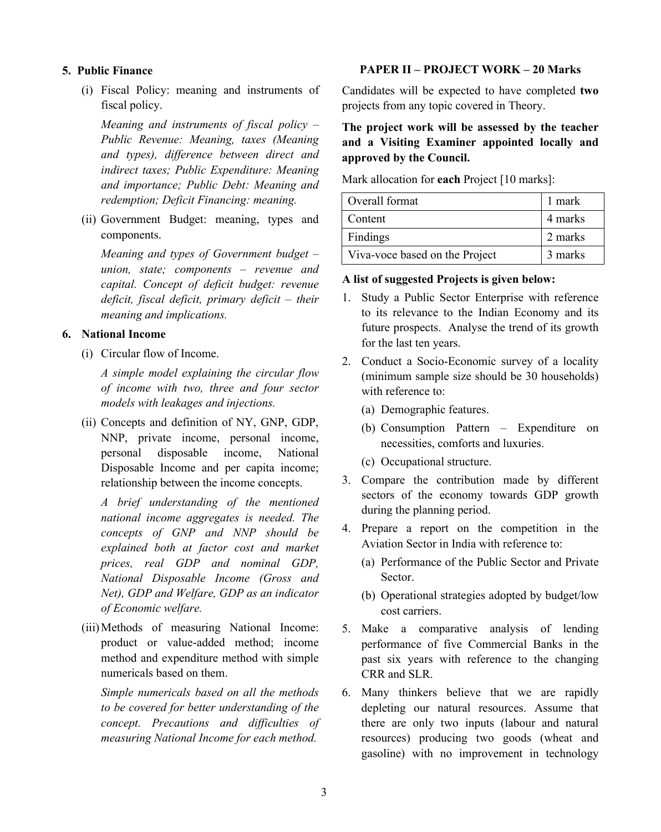#### **5.****Public Finance**

(i) Fiscal Policy: meaning and instruments of fiscal policy.

*Meaning and instruments of fiscal policy – Public Revenue: Meaning, taxes (Meaning and types), difference between direct and indirect taxes; Public Expenditure: Meaning and importance; Public Debt: Meaning and redemption; Deficit Financing: meaning.* 

(ii) Government Budget: meaning, types and components.

*Meaning and types of Government budget – union, state; components – revenue and capital. Concept of deficit budget: revenue deficit, fiscal deficit, primary deficit – their meaning and implications.*

## **6. National Income**

(i) Circular flow of Income.

*A simple model explaining the circular flow of income with two, three and four sector models with leakages and injections.*

(ii) Concepts and definition of NY, GNP, GDP, NNP, private income, personal income, personal disposable income, National Disposable Income and per capita income; relationship between the income concepts.

*A brief understanding of the mentioned national income aggregates is needed. The concepts of GNP and NNP should be explained both at factor cost and market prices, real GDP and nominal GDP, National Disposable Income (Gross and Net), GDP and Welfare, GDP as an indicator of Economic welfare.*

(iii)Methods of measuring National Income: product or value-added method; income method and expenditure method with simple numericals based on them.

*Simple numericals based on all the methods to be covered for better understanding of the concept. Precautions and difficulties of measuring National Income for each method.* 

### **PAPER II – PROJECT WORK – 20 Marks**

Candidates will be expected to have completed **two** projects from any topic covered in Theory.

# **The project work will be assessed by the teacher and a Visiting Examiner appointed locally and approved by the Council.**

Mark allocation for **each** Project [10 marks]:

| Overall format                 | 1 mark  |
|--------------------------------|---------|
| Content                        | 4 marks |
| Findings                       | 2 marks |
| Viva-voce based on the Project | 3 marks |

#### **A list of suggested Projects is given below:**

- 1. Study a Public Sector Enterprise with reference to its relevance to the Indian Economy and its future prospects. Analyse the trend of its growth for the last ten years.
- 2. Conduct a Socio-Economic survey of a locality (minimum sample size should be 30 households) with reference to:
	- (a) Demographic features.
	- (b) Consumption Pattern Expenditure on necessities, comforts and luxuries.
	- (c) Occupational structure.
- 3. Compare the contribution made by different sectors of the economy towards GDP growth during the planning period.
- 4. Prepare a report on the competition in the Aviation Sector in India with reference to:
	- (a) Performance of the Public Sector and Private Sector.
	- (b) Operational strategies adopted by budget/low cost carriers.
- 5. Make a comparative analysis of lending performance of five Commercial Banks in the past six years with reference to the changing CRR and SLR.
- 6. Many thinkers believe that we are rapidly depleting our natural resources. Assume that there are only two inputs (labour and natural resources) producing two goods (wheat and gasoline) with no improvement in technology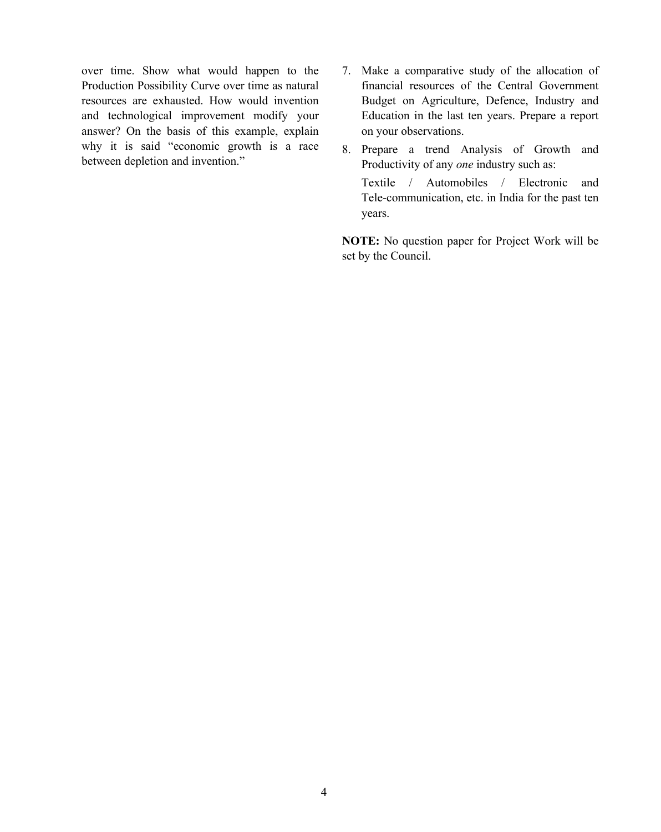over time. Show what would happen to the Production Possibility Curve over time as natural resources are exhausted. How would invention and technological improvement modify your answer? On the basis of this example, explain why it is said "economic growth is a race between depletion and invention."

- 7. Make a comparative study of the allocation of financial resources of the Central Government Budget on Agriculture, Defence, Industry and Education in the last ten years. Prepare a report on your observations.
- 8. Prepare a trend Analysis of Growth and Productivity of any *one* industry such as: Textile / Automobiles / Electronic and Tele-communication, etc. in India for the past ten years.

**NOTE:** No question paper for Project Work will be set by the Council.